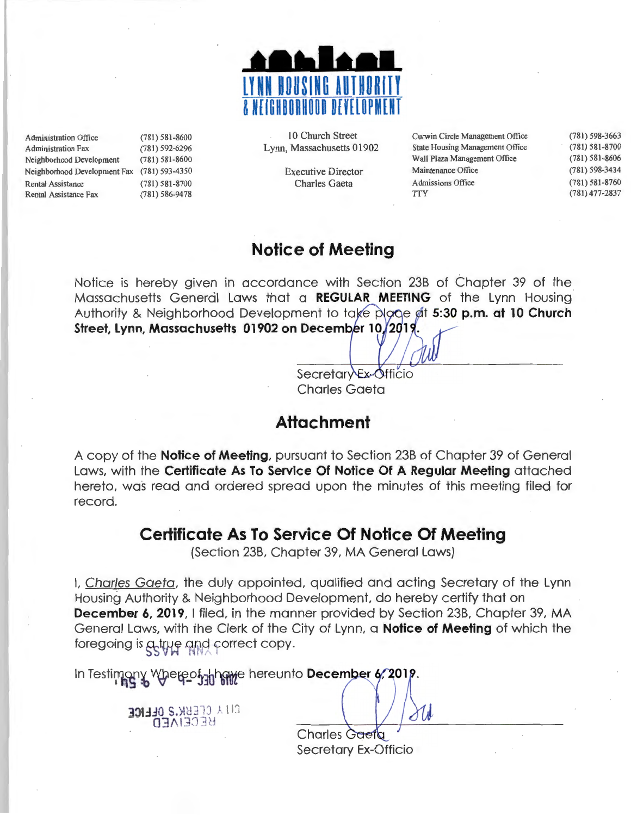

| <b>Administration Office</b> | $(781) 581 - 8600$ |
|------------------------------|--------------------|
| <b>Administration Fax</b>    | (781) 592-6296     |
| Neighborhood Development     | $(781) 581 - 8600$ |
| Neighborhood Development Fax | $(781) 593 - 4350$ |
| <b>Rental Assistance</b>     | $(781) 581 - 8700$ |
| <b>Rental Assistance Fax</b> | $(781) 586 - 9478$ |

10 Church Street Lynn, Massachusetts 01902

> Executive Director Charles Gaeta

Curwin Circle Management Office State Housing Management Office Wall Plaza Management Office Maintenance Office Admissions Office **TTY** (78 1) 598-3663 (781) 581-8700 (781) 581-8606 (781) 598-3434 (78 1) 581-8760 (781) 477-2837

### **Notice of Meeting**

Notice is hereby given in accordance with Section 23B of Chapter 39 of the Massachusetts General Laws that a **REGULAR MEETING** of the Lynn Housing Authority & Neighborhood Development to take place at 5:30 p.m. at 10 Church Street, Lynn, Massachusetts 01902 on December 10, 2019.

> Secretary Ex-Officio Charles Gaeta

## **Attachment**

A copy of the **Notice of Meeting,** pursuant to Section 23B of Chapter 39 of General Laws, with the **Certificate As To Service Of Notice Of A Regular Meeting** attached hereto, was read and ordered spread upon the minutes of this meeting filed for record.

### **Certificate As To Service Of Notice Of Meeting**

(Section 23B, Chapter 39, MA General Laws)

I, Charles Gaeta, the duly appointed, qualified and acting Secretary of the Lynn Housing Authority & Neighborhood Development, do hereby certify that on **December 6, 2019, I filed, in the manner provided by Section 23B, Chapter 39, MA** General Laws, with the Clerk of the City of Lynn, a **Notice of Meeting** of which the foregoing is a true and correct copy.

In Testimony Whereof<sub>iab</sub>hawe hereunto December 4, 2019.

**331.10 S.XBEEF OLLICE** BECEIAED

Charles Gaeta Secretary Ex-Officio